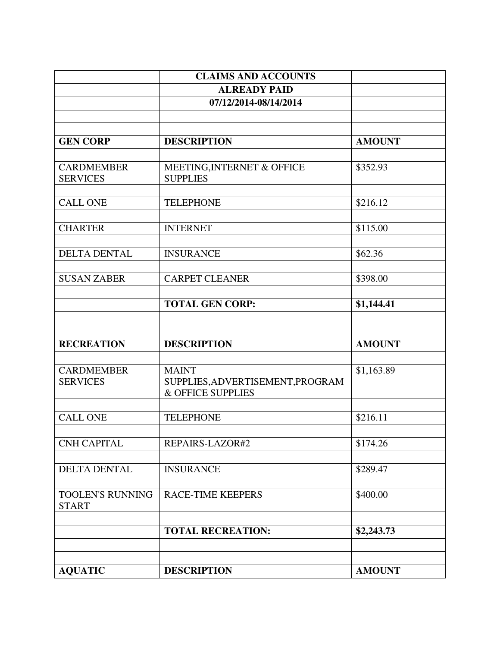|                                         | <b>CLAIMS AND ACCOUNTS</b>                            |               |
|-----------------------------------------|-------------------------------------------------------|---------------|
|                                         | <b>ALREADY PAID</b>                                   |               |
|                                         | 07/12/2014-08/14/2014                                 |               |
|                                         |                                                       |               |
|                                         |                                                       |               |
| <b>GEN CORP</b>                         | <b>DESCRIPTION</b>                                    | <b>AMOUNT</b> |
| <b>CARDMEMBER</b>                       | MEETING, INTERNET & OFFICE                            | \$352.93      |
| <b>SERVICES</b>                         | <b>SUPPLIES</b>                                       |               |
|                                         |                                                       |               |
| <b>CALL ONE</b>                         | <b>TELEPHONE</b>                                      | \$216.12      |
|                                         |                                                       |               |
| <b>CHARTER</b>                          | <b>INTERNET</b>                                       | \$115.00      |
|                                         |                                                       |               |
| <b>DELTA DENTAL</b>                     | <b>INSURANCE</b>                                      | \$62.36       |
| <b>SUSAN ZABER</b>                      | <b>CARPET CLEANER</b>                                 | \$398.00      |
|                                         |                                                       |               |
|                                         | <b>TOTAL GEN CORP:</b>                                | \$1,144.41    |
|                                         |                                                       |               |
|                                         |                                                       |               |
| <b>RECREATION</b>                       | <b>DESCRIPTION</b>                                    | <b>AMOUNT</b> |
|                                         |                                                       |               |
| <b>CARDMEMBER</b>                       | <b>MAINT</b>                                          | \$1,163.89    |
| <b>SERVICES</b>                         | SUPPLIES, ADVERTISEMENT, PROGRAM<br>& OFFICE SUPPLIES |               |
|                                         |                                                       |               |
| <b>CALL ONE</b>                         | <b>TELEPHONE</b>                                      | \$216.11      |
|                                         |                                                       |               |
| <b>CNH CAPITAL</b>                      | REPAIRS-LAZOR#2                                       | \$174.26      |
|                                         |                                                       |               |
| DELTA DENTAL                            | <b>INSURANCE</b>                                      | \$289.47      |
|                                         |                                                       |               |
| <b>TOOLEN'S RUNNING</b><br><b>START</b> | <b>RACE-TIME KEEPERS</b>                              | \$400.00      |
|                                         |                                                       |               |
|                                         | <b>TOTAL RECREATION:</b>                              | \$2,243.73    |
|                                         |                                                       |               |
|                                         |                                                       |               |
| <b>AQUATIC</b>                          | <b>DESCRIPTION</b>                                    | <b>AMOUNT</b> |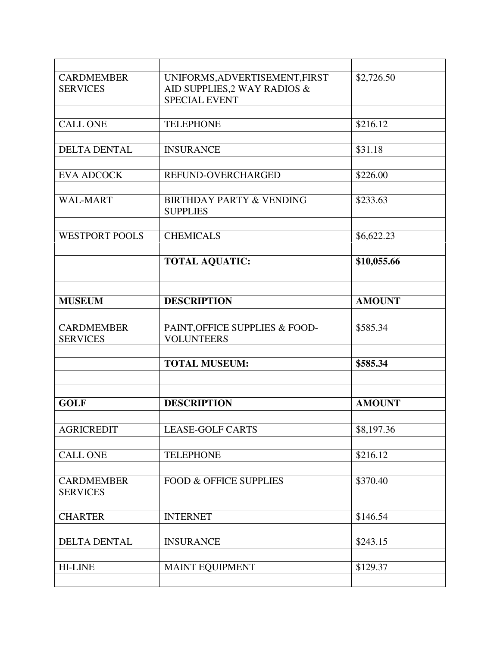| <b>CARDMEMBER</b><br><b>SERVICES</b> | UNIFORMS, ADVERTISEMENT, FIRST<br>AID SUPPLIES, 2 WAY RADIOS &<br><b>SPECIAL EVENT</b> | \$2,726.50    |
|--------------------------------------|----------------------------------------------------------------------------------------|---------------|
|                                      |                                                                                        |               |
| <b>CALL ONE</b>                      | <b>TELEPHONE</b>                                                                       | \$216.12      |
|                                      |                                                                                        |               |
| <b>DELTA DENTAL</b>                  | <b>INSURANCE</b>                                                                       | \$31.18       |
|                                      |                                                                                        |               |
| <b>EVA ADCOCK</b>                    | REFUND-OVERCHARGED                                                                     | \$226.00      |
|                                      |                                                                                        |               |
| <b>WAL-MART</b>                      | <b>BIRTHDAY PARTY &amp; VENDING</b><br><b>SUPPLIES</b>                                 | \$233.63      |
|                                      |                                                                                        |               |
| <b>WESTPORT POOLS</b>                | <b>CHEMICALS</b>                                                                       | \$6,622.23    |
|                                      |                                                                                        |               |
|                                      | <b>TOTAL AQUATIC:</b>                                                                  | \$10,055.66   |
|                                      |                                                                                        |               |
|                                      |                                                                                        |               |
| <b>MUSEUM</b>                        | <b>DESCRIPTION</b>                                                                     | <b>AMOUNT</b> |
|                                      |                                                                                        |               |
| <b>CARDMEMBER</b><br><b>SERVICES</b> | PAINT, OFFICE SUPPLIES & FOOD-<br><b>VOLUNTEERS</b>                                    | \$585.34      |
|                                      |                                                                                        |               |
|                                      | <b>TOTAL MUSEUM:</b>                                                                   | \$585.34      |
|                                      |                                                                                        |               |
|                                      |                                                                                        |               |
| <b>GOLF</b>                          | <b>DESCRIPTION</b>                                                                     | <b>AMOUNT</b> |
|                                      |                                                                                        |               |
| <b>AGRICREDIT</b>                    | <b>LEASE-GOLF CARTS</b>                                                                | \$8,197.36    |
|                                      |                                                                                        |               |
| <b>CALL ONE</b>                      | <b>TELEPHONE</b>                                                                       | \$216.12      |
|                                      |                                                                                        |               |
| <b>CARDMEMBER</b><br><b>SERVICES</b> | <b>FOOD &amp; OFFICE SUPPLIES</b>                                                      | \$370.40      |
|                                      |                                                                                        |               |
| <b>CHARTER</b>                       | <b>INTERNET</b>                                                                        | \$146.54      |
|                                      |                                                                                        |               |
| <b>DELTA DENTAL</b>                  | <b>INSURANCE</b>                                                                       | \$243.15      |
|                                      |                                                                                        |               |
| <b>HI-LINE</b>                       | <b>MAINT EQUIPMENT</b>                                                                 | \$129.37      |
|                                      |                                                                                        |               |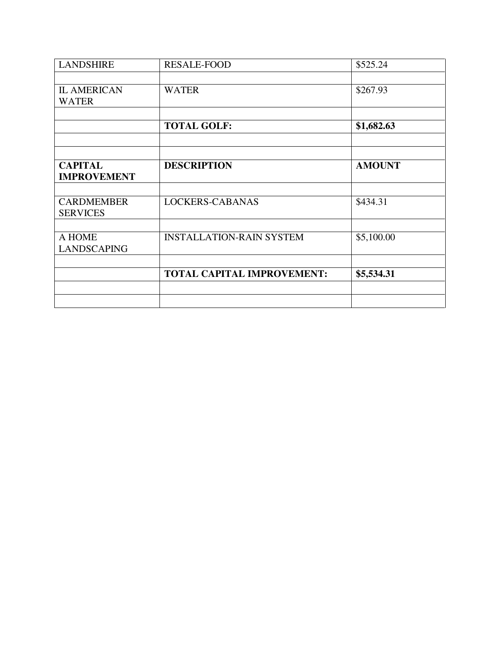| <b>LANDSHIRE</b>                     | <b>RESALE-FOOD</b>                | \$525.24      |
|--------------------------------------|-----------------------------------|---------------|
|                                      |                                   |               |
| <b>IL AMERICAN</b>                   | <b>WATER</b>                      | \$267.93      |
| <b>WATER</b>                         |                                   |               |
|                                      |                                   |               |
|                                      | <b>TOTAL GOLF:</b>                | \$1,682.63    |
|                                      |                                   |               |
|                                      |                                   |               |
| <b>CAPITAL</b><br><b>IMPROVEMENT</b> | <b>DESCRIPTION</b>                | <b>AMOUNT</b> |
|                                      |                                   |               |
| <b>CARDMEMBER</b>                    | LOCKERS-CABANAS                   | \$434.31      |
| <b>SERVICES</b>                      |                                   |               |
| A HOME                               | <b>INSTALLATION-RAIN SYSTEM</b>   | \$5,100.00    |
| <b>LANDSCAPING</b>                   |                                   |               |
|                                      |                                   |               |
|                                      | <b>TOTAL CAPITAL IMPROVEMENT:</b> | \$5,534.31    |
|                                      |                                   |               |
|                                      |                                   |               |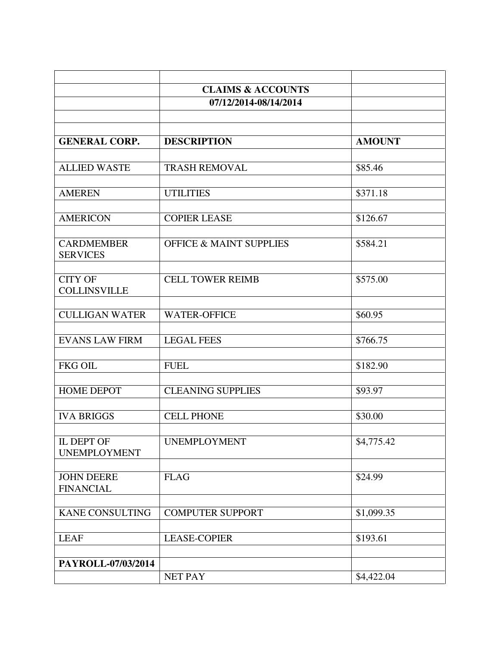|                                          | <b>CLAIMS &amp; ACCOUNTS</b><br>07/12/2014-08/14/2014 |               |
|------------------------------------------|-------------------------------------------------------|---------------|
|                                          |                                                       |               |
| <b>GENERAL CORP.</b>                     | <b>DESCRIPTION</b>                                    | <b>AMOUNT</b> |
| <b>ALLIED WASTE</b>                      | <b>TRASH REMOVAL</b>                                  | \$85.46       |
| <b>AMEREN</b>                            | <b>UTILITIES</b>                                      | \$371.18      |
| <b>AMERICON</b>                          | <b>COPIER LEASE</b>                                   | \$126.67      |
| <b>CARDMEMBER</b><br><b>SERVICES</b>     | <b>OFFICE &amp; MAINT SUPPLIES</b>                    | \$584.21      |
| <b>CITY OF</b><br><b>COLLINSVILLE</b>    | <b>CELL TOWER REIMB</b>                               | \$575.00      |
| <b>CULLIGAN WATER</b>                    | <b>WATER-OFFICE</b>                                   | \$60.95       |
| <b>EVANS LAW FIRM</b>                    | <b>LEGAL FEES</b>                                     | \$766.75      |
| <b>FKG OIL</b>                           | <b>FUEL</b>                                           | \$182.90      |
| <b>HOME DEPOT</b>                        | <b>CLEANING SUPPLIES</b>                              | \$93.97       |
| <b>IVA BRIGGS</b>                        | <b>CELL PHONE</b>                                     | \$30.00       |
| <b>IL DEPT OF</b><br><b>UNEMPLOYMENT</b> | <b>UNEMPLOYMENT</b>                                   | \$4,775.42    |
| <b>JOHN DEERE</b><br><b>FINANCIAL</b>    | <b>FLAG</b>                                           | \$24.99       |
| <b>KANE CONSULTING</b>                   | <b>COMPUTER SUPPORT</b>                               | \$1,099.35    |
| <b>LEAF</b>                              | <b>LEASE-COPIER</b>                                   | \$193.61      |
| PAYROLL-07/03/2014                       | NET PAY                                               | \$4,422.04    |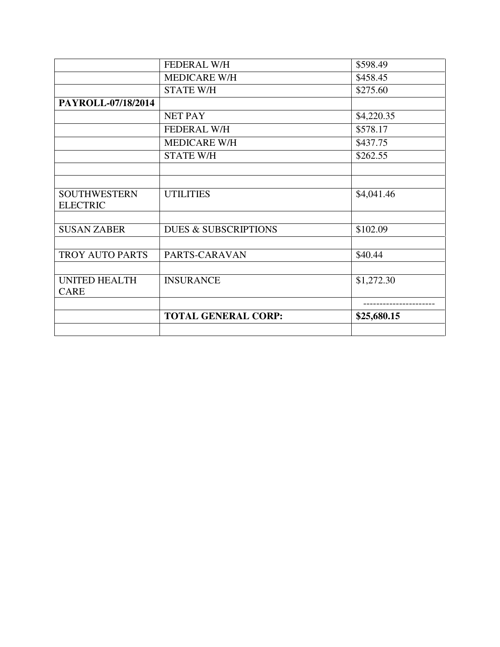|                      | <b>FEDERAL W/H</b>              | \$598.49    |
|----------------------|---------------------------------|-------------|
|                      | <b>MEDICARE W/H</b>             | \$458.45    |
|                      | <b>STATE W/H</b>                | \$275.60    |
| PAYROLL-07/18/2014   |                                 |             |
|                      | <b>NET PAY</b>                  | \$4,220.35  |
|                      | <b>FEDERAL W/H</b>              | \$578.17    |
|                      | <b>MEDICARE W/H</b>             | \$437.75    |
|                      | <b>STATE W/H</b>                | \$262.55    |
|                      |                                 |             |
|                      |                                 |             |
| <b>SOUTHWESTERN</b>  | <b>UTILITIES</b>                | \$4,041.46  |
| <b>ELECTRIC</b>      |                                 |             |
|                      |                                 |             |
| <b>SUSAN ZABER</b>   | <b>DUES &amp; SUBSCRIPTIONS</b> | \$102.09    |
|                      |                                 |             |
| TROY AUTO PARTS      | PARTS-CARAVAN                   | \$40.44     |
|                      |                                 |             |
| <b>UNITED HEALTH</b> | <b>INSURANCE</b>                | \$1,272.30  |
| <b>CARE</b>          |                                 |             |
|                      |                                 |             |
|                      | <b>TOTAL GENERAL CORP:</b>      | \$25,680.15 |
|                      |                                 |             |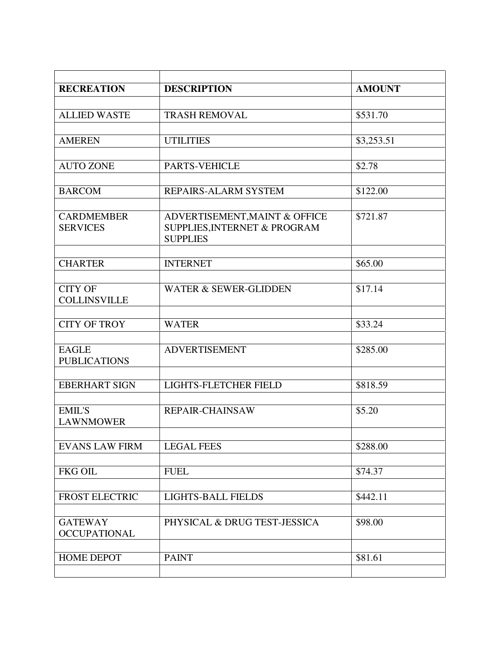| <b>RECREATION</b>                     | <b>DESCRIPTION</b>               | <b>AMOUNT</b> |
|---------------------------------------|----------------------------------|---------------|
|                                       |                                  |               |
| <b>ALLIED WASTE</b>                   | <b>TRASH REMOVAL</b>             | \$531.70      |
|                                       |                                  |               |
| <b>AMEREN</b>                         | <b>UTILITIES</b>                 | \$3,253.51    |
|                                       |                                  |               |
| <b>AUTO ZONE</b>                      | PARTS-VEHICLE                    | \$2.78        |
| <b>BARCOM</b>                         | REPAIRS-ALARM SYSTEM             | \$122.00      |
|                                       |                                  |               |
| <b>CARDMEMBER</b>                     | ADVERTISEMENT, MAINT & OFFICE    | \$721.87      |
| <b>SERVICES</b>                       | SUPPLIES, INTERNET & PROGRAM     |               |
|                                       | <b>SUPPLIES</b>                  |               |
|                                       |                                  |               |
| <b>CHARTER</b>                        | <b>INTERNET</b>                  | \$65.00       |
| <b>CITY OF</b>                        | <b>WATER &amp; SEWER-GLIDDEN</b> | \$17.14       |
| <b>COLLINSVILLE</b>                   |                                  |               |
|                                       |                                  |               |
| <b>CITY OF TROY</b>                   | <b>WATER</b>                     | \$33.24       |
|                                       |                                  |               |
| <b>EAGLE</b>                          | <b>ADVERTISEMENT</b>             | \$285.00      |
| <b>PUBLICATIONS</b>                   |                                  |               |
|                                       |                                  |               |
| <b>EBERHART SIGN</b>                  | LIGHTS-FLETCHER FIELD            | \$818.59      |
| <b>EMIL'S</b>                         | <b>REPAIR-CHAINSAW</b>           | \$5.20        |
| <b>LAWNMOWER</b>                      |                                  |               |
|                                       |                                  |               |
| <b>EVANS LAW FIRM</b>                 | <b>LEGAL FEES</b>                | \$288.00      |
|                                       |                                  |               |
| <b>FKG OIL</b>                        | <b>FUEL</b>                      | \$74.37       |
|                                       |                                  |               |
| <b>FROST ELECTRIC</b>                 | LIGHTS-BALL FIELDS               | \$442.11      |
|                                       |                                  |               |
| <b>GATEWAY</b><br><b>OCCUPATIONAL</b> | PHYSICAL & DRUG TEST-JESSICA     | \$98.00       |
|                                       |                                  |               |
| <b>HOME DEPOT</b>                     | <b>PAINT</b>                     | \$81.61       |
|                                       |                                  |               |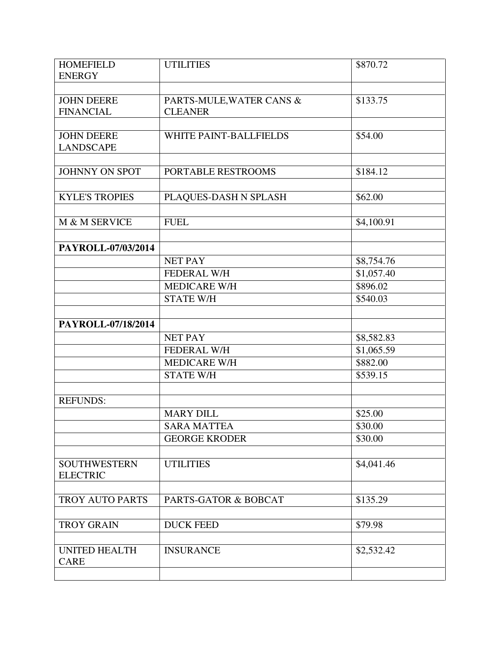| <b>HOMEFIELD</b>                       | <b>UTILITIES</b>                           | \$870.72   |
|----------------------------------------|--------------------------------------------|------------|
| <b>ENERGY</b>                          |                                            |            |
| <b>JOHN DEERE</b><br><b>FINANCIAL</b>  | PARTS-MULE, WATER CANS &<br><b>CLEANER</b> | \$133.75   |
| <b>JOHN DEERE</b><br><b>LANDSCAPE</b>  | WHITE PAINT-BALLFIELDS                     | \$54.00    |
| <b>JOHNNY ON SPOT</b>                  | PORTABLE RESTROOMS                         | \$184.12   |
| <b>KYLE'S TROPIES</b>                  | PLAQUES-DASH N SPLASH                      | \$62.00    |
| M & M SERVICE                          | <b>FUEL</b>                                | \$4,100.91 |
| PAYROLL-07/03/2014                     |                                            |            |
|                                        | <b>NET PAY</b>                             | \$8,754.76 |
|                                        | <b>FEDERAL W/H</b>                         | \$1,057.40 |
|                                        | MEDICARE W/H                               | \$896.02   |
|                                        | <b>STATE W/H</b>                           | \$540.03   |
| PAYROLL-07/18/2014                     |                                            |            |
|                                        | <b>NET PAY</b>                             | \$8,582.83 |
|                                        | FEDERAL W/H                                | \$1,065.59 |
|                                        | <b>MEDICARE W/H</b>                        | \$882.00   |
|                                        | <b>STATE W/H</b>                           | \$539.15   |
|                                        |                                            |            |
| <b>REFUNDS:</b>                        |                                            |            |
|                                        | <b>MARY DILL</b>                           | \$25.00    |
|                                        | <b>SARA MATTEA</b>                         | \$30.00    |
|                                        | <b>GEORGE KRODER</b>                       | \$30.00    |
| <b>SOUTHWESTERN</b><br><b>ELECTRIC</b> | <b>UTILITIES</b>                           | \$4,041.46 |
| TROY AUTO PARTS                        | <b>PARTS-GATOR &amp; BOBCAT</b>            | \$135.29   |
|                                        |                                            |            |
| <b>TROY GRAIN</b>                      | <b>DUCK FEED</b>                           | \$79.98    |
|                                        |                                            |            |
| <b>UNITED HEALTH</b><br><b>CARE</b>    | <b>INSURANCE</b>                           | \$2,532.42 |
|                                        |                                            |            |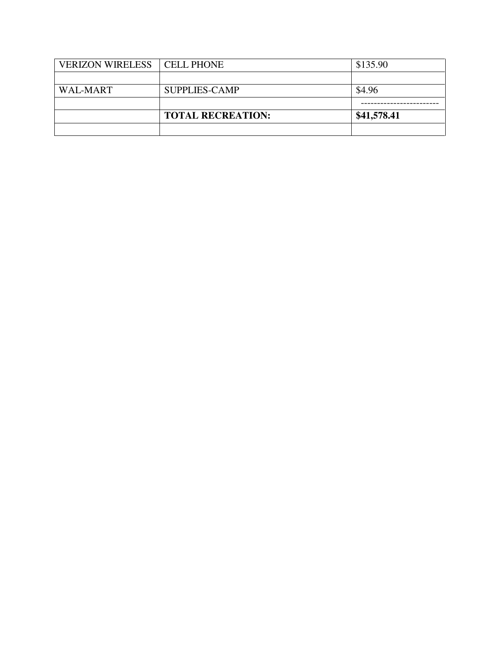| <b>VERIZON WIRELESS   CELL PHONE</b> |                          | \$135.90    |
|--------------------------------------|--------------------------|-------------|
|                                      |                          |             |
| <b>WAL-MART</b>                      | <b>SUPPLIES-CAMP</b>     | \$4.96      |
|                                      |                          |             |
|                                      |                          |             |
|                                      | <b>TOTAL RECREATION:</b> | \$41,578.41 |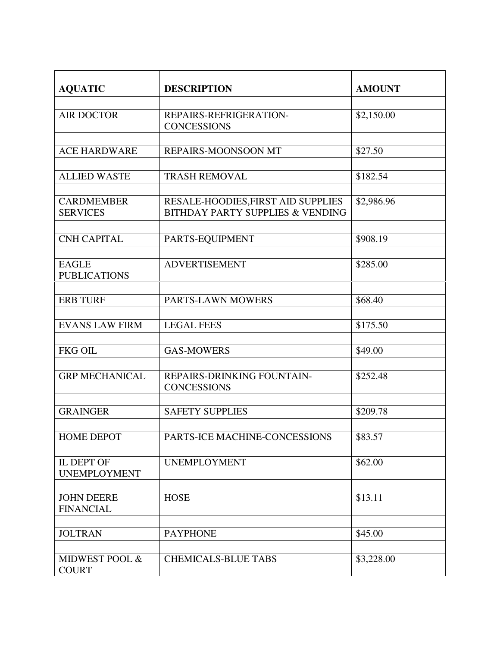| <b>AQUATIC</b>                        | <b>DESCRIPTION</b>                                                                | <b>AMOUNT</b> |
|---------------------------------------|-----------------------------------------------------------------------------------|---------------|
|                                       |                                                                                   |               |
| <b>AIR DOCTOR</b>                     | REPAIRS-REFRIGERATION-<br><b>CONCESSIONS</b>                                      | \$2,150.00    |
|                                       |                                                                                   |               |
| <b>ACE HARDWARE</b>                   | REPAIRS-MOONSOON MT                                                               | \$27.50       |
|                                       |                                                                                   |               |
| <b>ALLIED WASTE</b>                   | <b>TRASH REMOVAL</b>                                                              | \$182.54      |
| <b>CARDMEMBER</b><br><b>SERVICES</b>  | RESALE-HOODIES, FIRST AID SUPPLIES<br><b>BITHDAY PARTY SUPPLIES &amp; VENDING</b> | \$2,986.96    |
|                                       |                                                                                   |               |
| <b>CNH CAPITAL</b>                    | PARTS-EQUIPMENT                                                                   | \$908.19      |
| <b>EAGLE</b><br><b>PUBLICATIONS</b>   | <b>ADVERTISEMENT</b>                                                              | \$285.00      |
|                                       |                                                                                   |               |
| <b>ERB TURF</b>                       | PARTS-LAWN MOWERS                                                                 | \$68.40       |
|                                       |                                                                                   |               |
| <b>EVANS LAW FIRM</b>                 | <b>LEGAL FEES</b>                                                                 | \$175.50      |
| <b>FKG OIL</b>                        | <b>GAS-MOWERS</b>                                                                 | \$49.00       |
|                                       |                                                                                   |               |
| <b>GRP MECHANICAL</b>                 | REPAIRS-DRINKING FOUNTAIN-<br><b>CONCESSIONS</b>                                  | \$252.48      |
|                                       |                                                                                   |               |
| <b>GRAINGER</b>                       | <b>SAFETY SUPPLIES</b>                                                            | \$209.78      |
| <b>HOME DEPOT</b>                     | PARTS-ICE MACHINE-CONCESSIONS                                                     | \$83.57       |
|                                       |                                                                                   |               |
| IL DEPT OF<br><b>UNEMPLOYMENT</b>     | <b>UNEMPLOYMENT</b>                                                               | \$62.00       |
|                                       |                                                                                   |               |
| <b>JOHN DEERE</b><br><b>FINANCIAL</b> | <b>HOSE</b>                                                                       | \$13.11       |
|                                       |                                                                                   |               |
| <b>JOLTRAN</b>                        | <b>PAYPHONE</b>                                                                   | \$45.00       |
| MIDWEST POOL &<br><b>COURT</b>        | <b>CHEMICALS-BLUE TABS</b>                                                        | \$3,228.00    |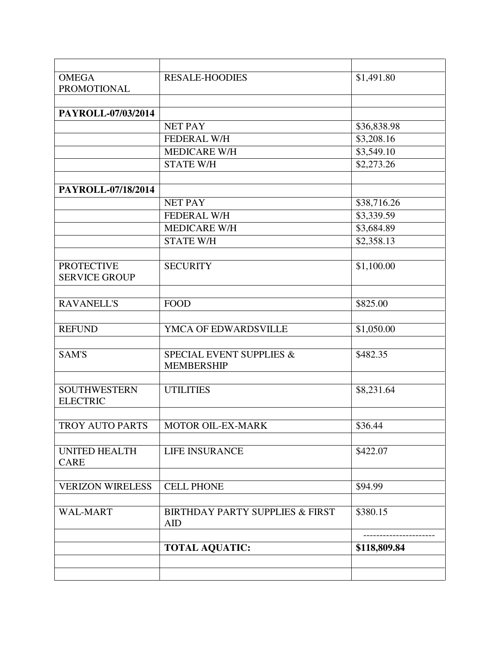| <b>OMEGA</b><br><b>PROMOTIONAL</b>        | <b>RESALE-HOODIES</b>                                    | \$1,491.80   |
|-------------------------------------------|----------------------------------------------------------|--------------|
|                                           |                                                          |              |
| PAYROLL-07/03/2014                        |                                                          |              |
|                                           | <b>NET PAY</b>                                           | \$36,838.98  |
|                                           | <b>FEDERAL W/H</b>                                       | \$3,208.16   |
|                                           | <b>MEDICARE W/H</b>                                      | \$3,549.10   |
|                                           | <b>STATE W/H</b>                                         | \$2,273.26   |
|                                           |                                                          |              |
| PAYROLL-07/18/2014                        |                                                          |              |
|                                           | <b>NET PAY</b>                                           | \$38,716.26  |
|                                           | <b>FEDERAL W/H</b>                                       | \$3,339.59   |
|                                           | <b>MEDICARE W/H</b>                                      | \$3,684.89   |
|                                           | <b>STATE W/H</b>                                         | \$2,358.13   |
|                                           |                                                          |              |
| <b>PROTECTIVE</b><br><b>SERVICE GROUP</b> | <b>SECURITY</b>                                          | \$1,100.00   |
|                                           |                                                          |              |
| <b>RAVANELL'S</b>                         | <b>FOOD</b>                                              | \$825.00     |
|                                           |                                                          |              |
| <b>REFUND</b>                             | YMCA OF EDWARDSVILLE                                     | \$1,050.00   |
|                                           |                                                          |              |
| <b>SAM'S</b>                              | SPECIAL EVENT SUPPLIES &<br><b>MEMBERSHIP</b>            | \$482.35     |
|                                           |                                                          |              |
| <b>SOUTHWESTERN</b><br><b>ELECTRIC</b>    | <b>UTILITIES</b>                                         | \$8,231.64   |
|                                           |                                                          |              |
| TROY AUTO PARTS                           | MOTOR OIL-EX-MARK                                        | \$36.44      |
| <b>UNITED HEALTH</b><br><b>CARE</b>       | <b>LIFE INSURANCE</b>                                    | \$422.07     |
|                                           |                                                          |              |
| <b>VERIZON WIRELESS</b>                   | <b>CELL PHONE</b>                                        | \$94.99      |
|                                           |                                                          |              |
| <b>WAL-MART</b>                           | <b>BIRTHDAY PARTY SUPPLIES &amp; FIRST</b><br><b>AID</b> | \$380.15     |
|                                           |                                                          |              |
|                                           | <b>TOTAL AQUATIC:</b>                                    | \$118,809.84 |
|                                           |                                                          |              |
|                                           |                                                          |              |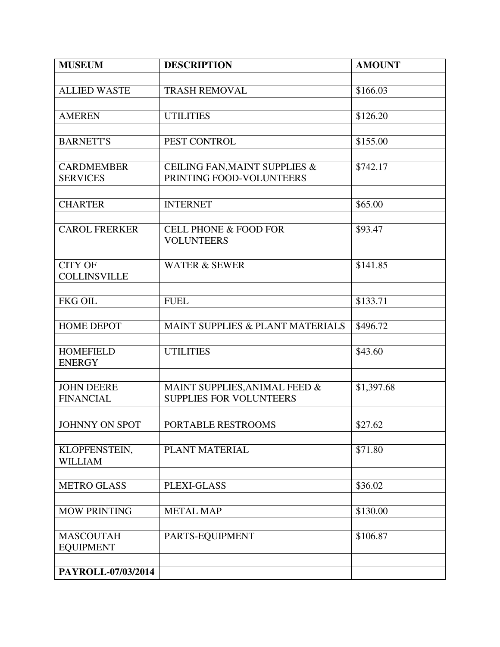| <b>MUSEUM</b>                         | <b>DESCRIPTION</b>               | <b>AMOUNT</b> |
|---------------------------------------|----------------------------------|---------------|
|                                       |                                  |               |
| <b>ALLIED WASTE</b>                   | <b>TRASH REMOVAL</b>             | \$166.03      |
|                                       |                                  |               |
| <b>AMEREN</b>                         | <b>UTILITIES</b>                 | \$126.20      |
|                                       |                                  |               |
| <b>BARNETT'S</b>                      | PEST CONTROL                     | \$155.00      |
|                                       |                                  |               |
| <b>CARDMEMBER</b>                     | CEILING FAN, MAINT SUPPLIES &    | \$742.17      |
| <b>SERVICES</b>                       | PRINTING FOOD-VOLUNTEERS         |               |
|                                       |                                  |               |
| <b>CHARTER</b>                        | <b>INTERNET</b>                  | \$65.00       |
|                                       |                                  |               |
| <b>CAROL FRERKER</b>                  | <b>CELL PHONE &amp; FOOD FOR</b> | \$93.47       |
|                                       | <b>VOLUNTEERS</b>                |               |
|                                       |                                  |               |
| <b>CITY OF</b><br><b>COLLINSVILLE</b> | <b>WATER &amp; SEWER</b>         | \$141.85      |
|                                       |                                  |               |
| <b>FKG OIL</b>                        | <b>FUEL</b>                      | \$133.71      |
|                                       |                                  |               |
| <b>HOME DEPOT</b>                     | MAINT SUPPLIES & PLANT MATERIALS | \$496.72      |
|                                       |                                  |               |
| <b>HOMEFIELD</b>                      | <b>UTILITIES</b>                 | \$43.60       |
| <b>ENERGY</b>                         |                                  |               |
|                                       |                                  |               |
| <b>JOHN DEERE</b>                     | MAINT SUPPLIES, ANIMAL FEED &    | \$1,397.68    |
| <b>FINANCIAL</b>                      | <b>SUPPLIES FOR VOLUNTEERS</b>   |               |
|                                       |                                  |               |
| JOHNNY ON SPOT                        | PORTABLE RESTROOMS               | \$27.62       |
|                                       |                                  |               |
| KLOPFENSTEIN,                         | PLANT MATERIAL                   | \$71.80       |
| <b>WILLIAM</b>                        |                                  |               |
|                                       |                                  |               |
| <b>METRO GLASS</b>                    | PLEXI-GLASS                      | \$36.02       |
|                                       |                                  |               |
| <b>MOW PRINTING</b>                   | <b>METAL MAP</b>                 | \$130.00      |
|                                       |                                  |               |
| <b>MASCOUTAH</b>                      | PARTS-EQUIPMENT                  | \$106.87      |
| <b>EQUIPMENT</b>                      |                                  |               |
| PAYROLL-07/03/2014                    |                                  |               |
|                                       |                                  |               |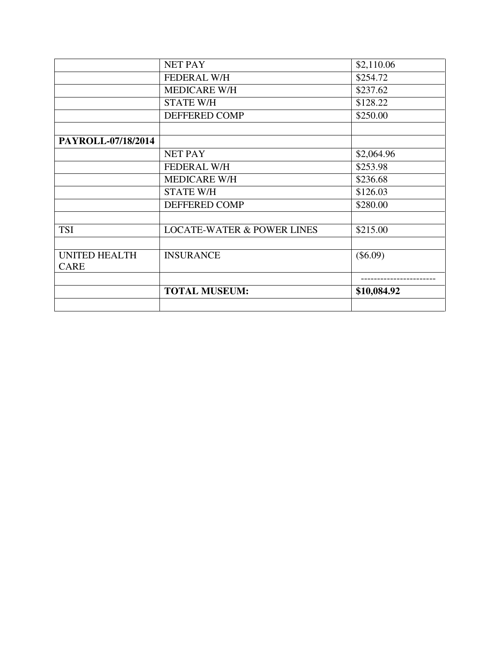|                      | <b>NET PAY</b>                        | \$2,110.06  |
|----------------------|---------------------------------------|-------------|
|                      | <b>FEDERAL W/H</b>                    | \$254.72    |
|                      | <b>MEDICARE W/H</b>                   | \$237.62    |
|                      | <b>STATE W/H</b>                      | \$128.22    |
|                      | DEFFERED COMP                         | \$250.00    |
|                      |                                       |             |
| PAYROLL-07/18/2014   |                                       |             |
|                      | <b>NET PAY</b>                        | \$2,064.96  |
|                      | <b>FEDERAL W/H</b>                    | \$253.98    |
|                      | <b>MEDICARE W/H</b>                   | \$236.68    |
|                      | <b>STATE W/H</b>                      | \$126.03    |
|                      | DEFFERED COMP                         | \$280.00    |
|                      |                                       |             |
| <b>TSI</b>           | <b>LOCATE-WATER &amp; POWER LINES</b> | \$215.00    |
|                      |                                       |             |
| <b>UNITED HEALTH</b> | <b>INSURANCE</b>                      | $(\$6.09)$  |
| <b>CARE</b>          |                                       |             |
|                      |                                       |             |
|                      | <b>TOTAL MUSEUM:</b>                  | \$10,084.92 |
|                      |                                       |             |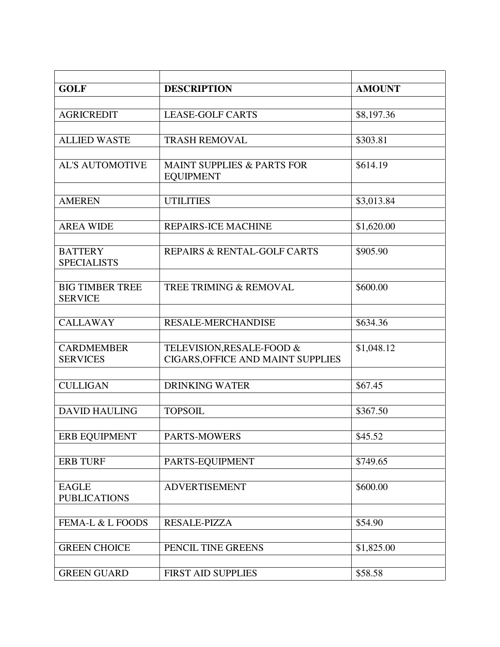| <b>GOLF</b>                          | <b>DESCRIPTION</b>                             | <b>AMOUNT</b> |
|--------------------------------------|------------------------------------------------|---------------|
|                                      |                                                |               |
| <b>AGRICREDIT</b>                    | <b>LEASE-GOLF CARTS</b>                        | \$8,197.36    |
|                                      |                                                |               |
| <b>ALLIED WASTE</b>                  | <b>TRASH REMOVAL</b>                           | \$303.81      |
|                                      |                                                |               |
| <b>AL'S AUTOMOTIVE</b>               | MAINT SUPPLIES & PARTS FOR<br><b>EQUIPMENT</b> | \$614.19      |
|                                      |                                                |               |
| <b>AMEREN</b>                        | <b>UTILITIES</b>                               | \$3,013.84    |
|                                      |                                                |               |
| <b>AREA WIDE</b>                     | <b>REPAIRS-ICE MACHINE</b>                     | \$1,620.00    |
|                                      |                                                | \$905.90      |
| <b>BATTERY</b><br><b>SPECIALISTS</b> | REPAIRS & RENTAL-GOLF CARTS                    |               |
|                                      |                                                |               |
| <b>BIG TIMBER TREE</b>               | TREE TRIMING & REMOVAL                         | \$600.00      |
| <b>SERVICE</b>                       |                                                |               |
|                                      |                                                |               |
| <b>CALLAWAY</b>                      | <b>RESALE-MERCHANDISE</b>                      | \$634.36      |
|                                      |                                                |               |
| <b>CARDMEMBER</b>                    | TELEVISION, RESALE-FOOD &                      | \$1,048.12    |
| <b>SERVICES</b>                      | CIGARS, OFFICE AND MAINT SUPPLIES              |               |
|                                      |                                                |               |
| <b>CULLIGAN</b>                      | <b>DRINKING WATER</b>                          | \$67.45       |
|                                      |                                                |               |
| <b>DAVID HAULING</b>                 | <b>TOPSOIL</b>                                 | \$367.50      |
|                                      |                                                |               |
| ERB EQUIPMENT                        | PARTS-MOWERS                                   | \$45.52       |
|                                      |                                                | \$749.65      |
| <b>ERB TURF</b>                      | PARTS-EQUIPMENT                                |               |
| <b>EAGLE</b>                         | <b>ADVERTISEMENT</b>                           | \$600.00      |
| <b>PUBLICATIONS</b>                  |                                                |               |
|                                      |                                                |               |
| FEMA-L & L FOODS                     | RESALE-PIZZA                                   | \$54.90       |
|                                      |                                                |               |
| <b>GREEN CHOICE</b>                  | PENCIL TINE GREENS                             | \$1,825.00    |
|                                      |                                                |               |
| <b>GREEN GUARD</b>                   | <b>FIRST AID SUPPLIES</b>                      | \$58.58       |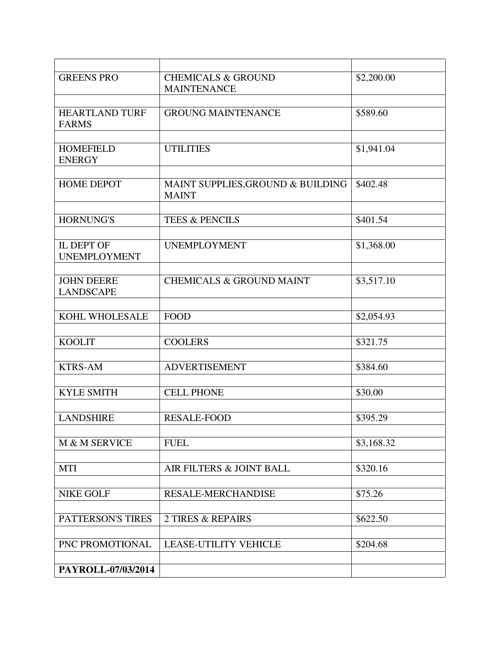| <b>GREENS PRO</b>                     | <b>CHEMICALS &amp; GROUND</b><br><b>MAINTENANCE</b> | \$2,200.00 |
|---------------------------------------|-----------------------------------------------------|------------|
|                                       |                                                     |            |
| <b>HEARTLAND TURF</b><br><b>FARMS</b> | <b>GROUNG MAINTENANCE</b>                           | \$589.60   |
|                                       |                                                     |            |
| <b>HOMEFIELD</b><br><b>ENERGY</b>     | <b>UTILITIES</b>                                    | \$1,941.04 |
|                                       |                                                     |            |
| <b>HOME DEPOT</b>                     | MAINT SUPPLIES, GROUND & BUILDING<br><b>MAINT</b>   | \$402.48   |
|                                       |                                                     |            |
| <b>HORNUNG'S</b>                      | <b>TEES &amp; PENCILS</b>                           | \$401.54   |
|                                       |                                                     |            |
| IL DEPT OF<br><b>UNEMPLOYMENT</b>     | <b>UNEMPLOYMENT</b>                                 | \$1,368.00 |
|                                       |                                                     |            |
| <b>JOHN DEERE</b><br><b>LANDSCAPE</b> | <b>CHEMICALS &amp; GROUND MAINT</b>                 | \$3,517.10 |
|                                       |                                                     |            |
| KOHL WHOLESALE                        | <b>FOOD</b>                                         | \$2,054.93 |
|                                       |                                                     |            |
| <b>KOOLIT</b>                         | <b>COOLERS</b>                                      | \$321.75   |
|                                       |                                                     |            |
| <b>KTRS-AM</b>                        | <b>ADVERTISEMENT</b>                                | \$384.60   |
|                                       |                                                     |            |
| <b>KYLE SMITH</b>                     | <b>CELL PHONE</b>                                   | \$30.00    |
|                                       |                                                     |            |
| <b>LANDSHIRE</b>                      | <b>RESALE-FOOD</b>                                  | \$395.29   |
|                                       |                                                     |            |
| M & M SERVICE                         | <b>FUEL</b>                                         | \$3,168.32 |
|                                       |                                                     |            |
| <b>MTI</b>                            | AIR FILTERS & JOINT BALL                            | \$320.16   |
|                                       |                                                     |            |
| <b>NIKE GOLF</b>                      | <b>RESALE-MERCHANDISE</b>                           | \$75.26    |
|                                       |                                                     |            |
| PATTERSON'S TIRES                     | <b>2 TIRES &amp; REPAIRS</b>                        | \$622.50   |
|                                       |                                                     |            |
| PNC PROMOTIONAL                       | <b>LEASE-UTILITY VEHICLE</b>                        | \$204.68   |
|                                       |                                                     |            |
| PAYROLL-07/03/2014                    |                                                     |            |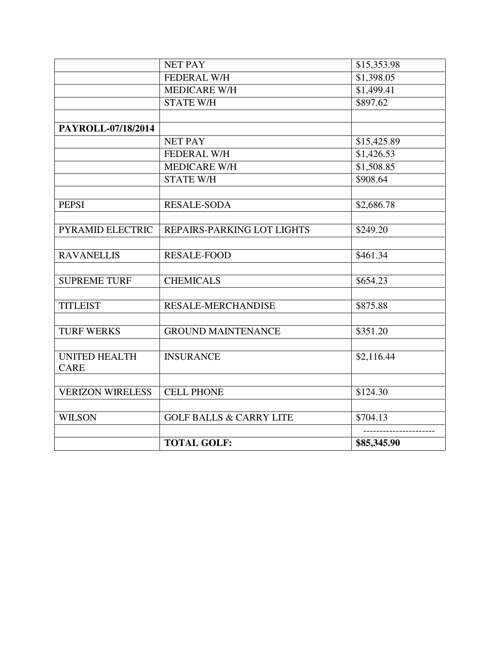|                         | <b>NET PAY</b>                     | \$15,353.98 |
|-------------------------|------------------------------------|-------------|
|                         | FEDERAL W/H                        | \$1,398.05  |
|                         | <b>MEDICARE W/H</b>                | \$1,499.41  |
|                         | <b>STATE W/H</b>                   | \$897.62    |
|                         |                                    |             |
| PAYROLL-07/18/2014      |                                    |             |
|                         | <b>NET PAY</b>                     | \$15,425.89 |
|                         | <b>FEDERAL W/H</b>                 | \$1,426.53  |
|                         | <b>MEDICARE W/H</b>                | \$1,508.85  |
|                         | <b>STATE W/H</b>                   | \$908.64    |
|                         |                                    |             |
| <b>PEPSI</b>            | <b>RESALE-SODA</b>                 | \$2,686.78  |
|                         |                                    |             |
| PYRAMID ELECTRIC        | REPAIRS-PARKING LOT LIGHTS         | \$249.20    |
|                         |                                    |             |
| <b>RAVANELLIS</b>       | <b>RESALE-FOOD</b>                 | \$461.34    |
|                         |                                    |             |
| <b>SUPREME TURF</b>     | <b>CHEMICALS</b>                   | \$654.23    |
|                         |                                    |             |
| <b>TITLEIST</b>         | RESALE-MERCHANDISE                 | \$875.88    |
|                         |                                    |             |
| <b>TURF WERKS</b>       | <b>GROUND MAINTENANCE</b>          | \$351.20    |
|                         |                                    |             |
| <b>UNITED HEALTH</b>    | <b>INSURANCE</b>                   | \$2,116.44  |
| <b>CARE</b>             |                                    |             |
| <b>VERIZON WIRELESS</b> | <b>CELL PHONE</b>                  | \$124.30    |
|                         |                                    |             |
| <b>WILSON</b>           | <b>GOLF BALLS &amp; CARRY LITE</b> | \$704.13    |
|                         |                                    |             |
|                         | <b>TOTAL GOLF:</b>                 | \$85,345.90 |
|                         |                                    |             |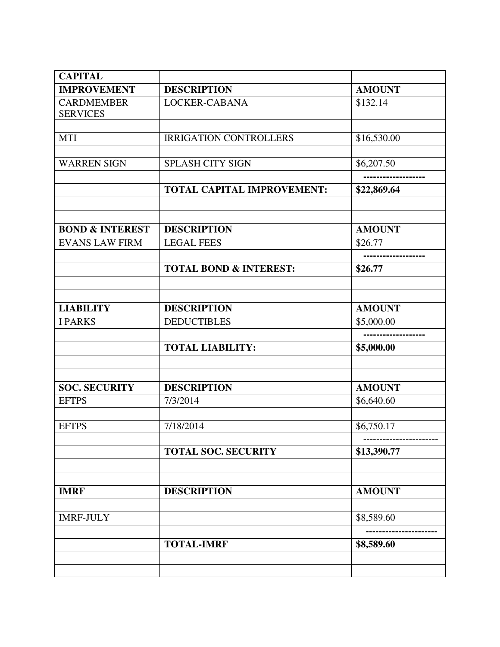| <b>CAPITAL</b>                       |                                   |                             |
|--------------------------------------|-----------------------------------|-----------------------------|
| <b>IMPROVEMENT</b>                   | <b>DESCRIPTION</b>                | <b>AMOUNT</b>               |
| <b>CARDMEMBER</b><br><b>SERVICES</b> | LOCKER-CABANA                     | \$132.14                    |
| <b>MTI</b>                           | <b>IRRIGATION CONTROLLERS</b>     | \$16,530.00                 |
| <b>WARREN SIGN</b>                   | <b>SPLASH CITY SIGN</b>           | \$6,207.50                  |
|                                      | <b>TOTAL CAPITAL IMPROVEMENT:</b> | \$22,869.64                 |
|                                      |                                   |                             |
| <b>BOND &amp; INTEREST</b>           | <b>DESCRIPTION</b>                | <b>AMOUNT</b>               |
| <b>EVANS LAW FIRM</b>                | <b>LEGAL FEES</b>                 | \$26.77                     |
|                                      | <b>TOTAL BOND &amp; INTEREST:</b> | \$26.77                     |
|                                      |                                   |                             |
| <b>LIABILITY</b>                     | <b>DESCRIPTION</b>                | <b>AMOUNT</b>               |
| <b>I PARKS</b>                       | <b>DEDUCTIBLES</b>                | \$5,000.00                  |
|                                      |                                   | ---------------             |
|                                      | <b>TOTAL LIABILITY:</b>           | \$5,000.00                  |
|                                      | <b>DESCRIPTION</b>                |                             |
| <b>SOC. SECURITY</b><br><b>EFTPS</b> | 7/3/2014                          | <b>AMOUNT</b><br>\$6,640.60 |
| <b>EFTPS</b>                         | 7/18/2014                         | \$6,750.17                  |
|                                      | <b>TOTAL SOC. SECURITY</b>        | \$13,390.77                 |
|                                      |                                   |                             |
| <b>IMRF</b>                          | <b>DESCRIPTION</b>                | <b>AMOUNT</b>               |
| <b>IMRF-JULY</b>                     |                                   | \$8,589.60                  |
|                                      | <b>TOTAL-IMRF</b>                 | \$8,589.60                  |
|                                      |                                   |                             |